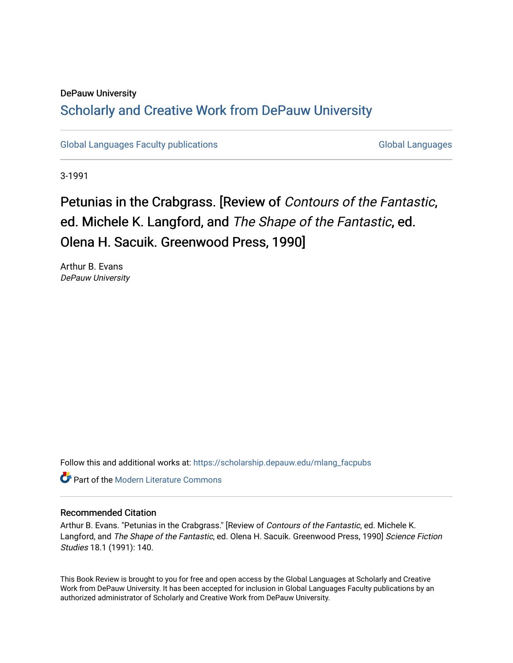### DePauw University Scholarly and [Creative Work from DePauw Univ](https://scholarship.depauw.edu/)ersity

[Global Languages Faculty publications](https://scholarship.depauw.edu/mlang_facpubs) [Global Languages](https://scholarship.depauw.edu/modernlanguages) Global Languages

3-1991

## Petunias in the Crabgrass. [Review of Contours of the Fantastic, ed. Michele K. Langford, and The Shape of the Fantastic, ed. Olena H. Sacuik. Greenwood Press, 1990]

Arthur B. Evans DePauw University

Follow this and additional works at: [https://scholarship.depauw.edu/mlang\\_facpubs](https://scholarship.depauw.edu/mlang_facpubs?utm_source=scholarship.depauw.edu%2Fmlang_facpubs%2F39&utm_medium=PDF&utm_campaign=PDFCoverPages)

**C** Part of the Modern Literature Commons

#### Recommended Citation

Arthur B. Evans. "Petunias in the Crabgrass." [Review of Contours of the Fantastic, ed. Michele K. Langford, and The Shape of the Fantastic, ed. Olena H. Sacuik. Greenwood Press, 1990] Science Fiction Studies 18.1 (1991): 140.

This Book Review is brought to you for free and open access by the Global Languages at Scholarly and Creative Work from DePauw University. It has been accepted for inclusion in Global Languages Faculty publications by an authorized administrator of Scholarly and Creative Work from DePauw University.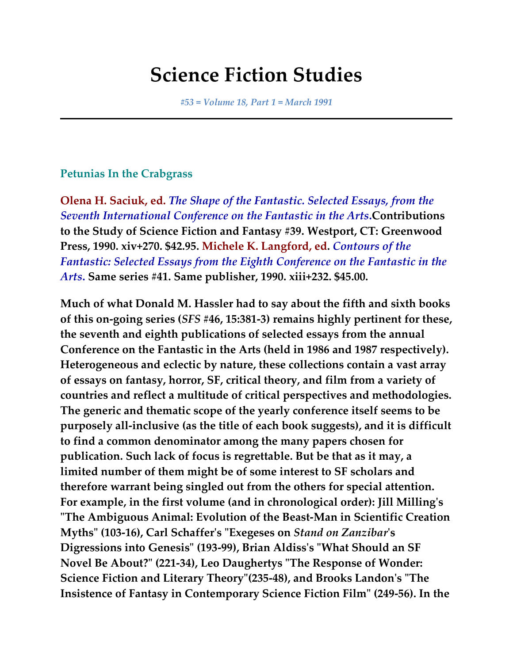# **Science Fiction Studies**

*#53 = Volume 18, Part 1 = March 1991*

#### **Petunias In the Crabgrass**

**Olena H. Saciuk, ed.** *The Shape of the Fantastic. Selected Essays, from the Seventh International Conference on the Fantastic in the Arts***.Contributions to the Study of Science Fiction and Fantasy #39. Westport, CT: Greenwood Press, 1990. xiv+270. \$42.95. Michele K. Langford, ed.** *Contours of the Fantastic: Selected Essays from the Eighth Conference on the Fantastic in the Arts***. Same series #41. Same publisher, 1990. xiii+232. \$45.00.**

**Much of what Donald M. Hassler had to say about the fifth and sixth books of this on-going series (***SFS* **#46, 15:381-3) remains highly pertinent for these, the seventh and eighth publications of selected essays from the annual Conference on the Fantastic in the Arts (held in 1986 and 1987 respectively). Heterogeneous and eclectic by nature, these collections contain a vast array of essays on fantasy, horror, SF, critical theory, and film from a variety of countries and reflect a multitude of critical perspectives and methodologies. The generic and thematic scope of the yearly conference itself seems to be purposely all-inclusive (as the title of each book suggests), and it is difficult to find a common denominator among the many papers chosen for publication. Such lack of focus is regrettable. But be that as it may, a limited number of them might be of some interest to SF scholars and therefore warrant being singled out from the others for special attention. For example, in the first volume (and in chronological order): Jill Milling's "The Ambiguous Animal: Evolution of the Beast-Man in Scientific Creation Myths" (103-16), Carl Schaffer's "Exegeses on** *Stand on Zanzibar***'s Digressions into Genesis" (193-99), Brian Aldiss's "What Should an SF Novel Be About?" (221-34), Leo Daughertys "The Response of Wonder: Science Fiction and Literary Theory"(235-48), and Brooks Landon's "The Insistence of Fantasy in Contemporary Science Fiction Film" (249-56). In the**